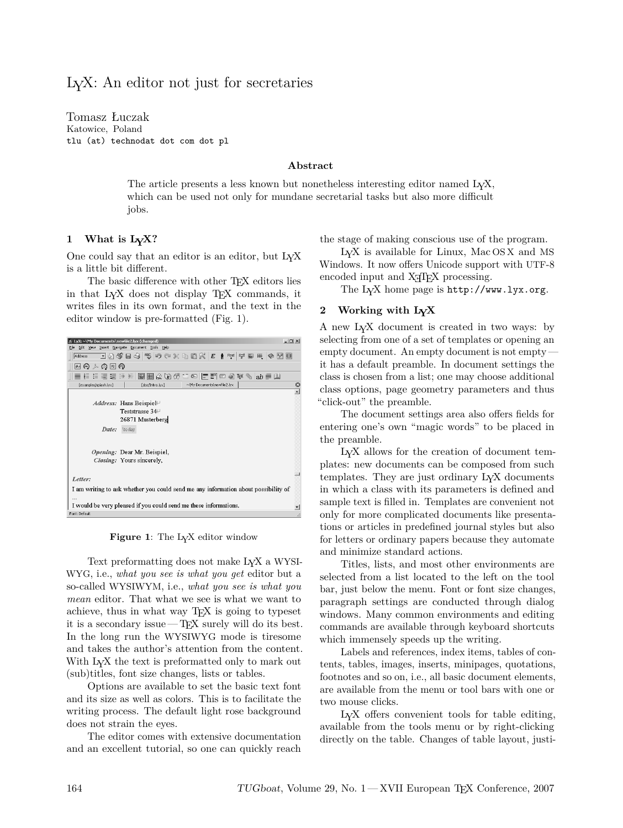Tomasz Łuczak Katowice, Poland tlu (at) technodat dot com dot pl

# **Abstract**

The article presents a less known but nonetheless interesting editor named LYX, which can be used not only for mundane secretarial tasks but also more difficult jobs.

## **1 What is LYX?**

One could say that an editor is an editor, but LYX is a little bit different.

The basic difference with other TEX editors lies in that LYX does not display TEX commands, it writes files in its own format, and the text in the editor window is pre-formatted (Fig. 1).



**Figure 1**: The LYX editor window

Text preformatting does not make LYX a WYSI-WYG, i.e., *what you see is what you get* editor but a so-called WYSIWYM, i.e., *what you see is what you mean* editor. That what we see is what we want to achieve, thus in what way TEX is going to typeset it is a secondary issue  $-TEX$  surely will do its best. In the long run the WYSIWYG mode is tiresome and takes the author's attention from the content. With L<sub>Y</sub>X the text is preformatted only to mark out (sub)titles, font size changes, lists or tables.

Options are available to set the basic text font and its size as well as colors. This is to facilitate the writing process. The default light rose background does not strain the eyes.

The editor comes with extensive documentation and an excellent tutorial, so one can quickly reach the stage of making conscious use of the program.

LYX is available for Linux, Mac OS X and MS Windows. It now offers Unicode support with UTF-8 encoded input and X<sub>T</sub>T<sub>E</sub>X processing.

The LYX home page is http://www.lyx.org.

#### **2 Working with LYX**

A new LYX document is created in two ways: by selecting from one of a set of templates or opening an empty document. An empty document is not empty it has a default preamble. In document settings the class is chosen from a list; one may choose additional class options, page geometry parameters and thus "click-out" the preamble.

The document settings area also offers fields for entering one's own "magic words" to be placed in the preamble.

LYX allows for the creation of document templates: new documents can be composed from such templates. They are just ordinary LYX documents in which a class with its parameters is defined and sample text is filled in. Templates are convenient not only for more complicated documents like presentations or articles in predefined journal styles but also for letters or ordinary papers because they automate and minimize standard actions.

Titles, lists, and most other environments are selected from a list located to the left on the tool bar, just below the menu. Font or font size changes, paragraph settings are conducted through dialog windows. Many common environments and editing commands are available through keyboard shortcuts which immensely speeds up the writing.

Labels and references, index items, tables of contents, tables, images, inserts, minipages, quotations, footnotes and so on, i.e., all basic document elements, are available from the menu or tool bars with one or two mouse clicks.

LYX offers convenient tools for table editing, available from the tools menu or by right-clicking directly on the table. Changes of table layout, justi